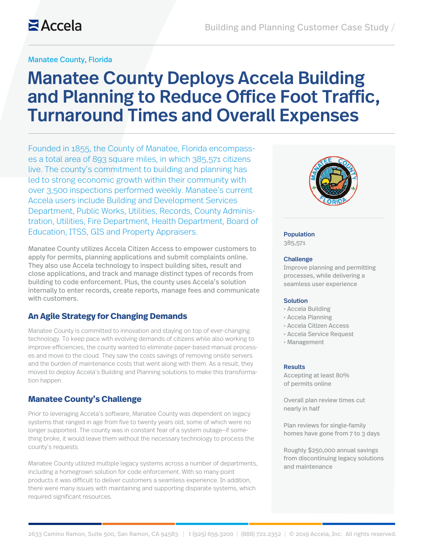#### Manatee County, Florida

# Manatee County Deploys Accela Building and Planning to Reduce Office Foot Traffic, Turnaround Times and Overall Expenses

Founded in 1855, the County of Manatee, Florida encompasses a total area of 893 square miles, in which 385,571 citizens live. The county's commitment to building and planning has led to strong economic growth within their community with over 3,500 inspections performed weekly. Manatee's current Accela users include Building and Development Services Department, Public Works, Utilities, Records, County Administration, Utilities, Fire Department, Health Department, Board of Education, ITSS, GIS and Property Appraisers.

Manatee County utilizes Accela Citizen Access to empower customers to apply for permits, planning applications and submit complaints online. They also use Accela technology to inspect building sites, result and close applications, and track and manage distinct types of records from building to code enforcement. Plus, the county uses Accela's solution internally to enter records, create reports, manage fees and communicate with customers.

#### **An Agile Strategy for Changing Demands**

Manatee County is committed to innovation and staying on top of ever-changing technology. To keep pace with evolving demands of citizens while also working to improve efficiencies, the county wanted to eliminate paper-based manual processes and move to the cloud. They saw the costs savings of removing onsite servers and the burden of maintenance costs that went along with them. As a result, they moved to deploy Accela's Building and Planning solutions to make this transformation happen.

#### **Manatee County's Challenge**

Prior to leveraging Accela's software, Manatee County was dependent on legacy systems that ranged in age from five to twenty years old, some of which were no longer supported. The county was in constant fear of a system outage—if something broke, it would leave them without the necessary technology to process the county's requests.

Manatee County utilized multiple legacy systems across a number of departments, including a homegrown solution for code enforcement. With so many point products it was difficult to deliver customers a seamless experience. In addition, there were many issues with maintaining and supporting disparate systems, which required significant resources.



#### Population

385,571

#### Challenge

Improve planning and permitting processes, while delivering a seamless user experience

#### Solution

- Accela Building
- Accela Planning
- Accela Citizen Access
- Accela Service Request
- Management

#### **Results**

Accepting at least 80% of permits online

Overall plan review times cut nearly in half

Plan reviews for single-family homes have gone from 7 to 3 days

Roughly \$250,000 annual savings from discontinuing legacy solutions and maintenance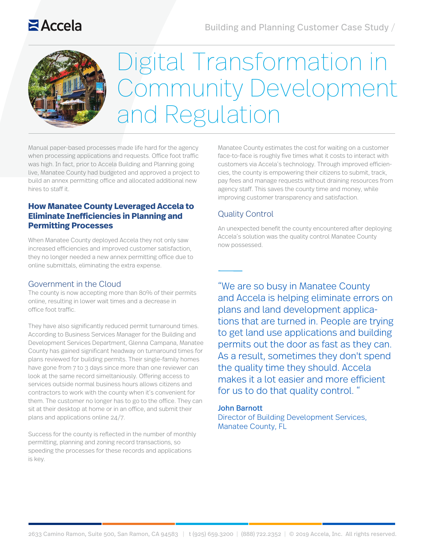# $Accela$



# Digital Transformation in Community Development and Regulation

Manual paper-based processes made life hard for the agency when processing applications and requests. Office foot traffic was high. In fact, prior to Accela Building and Planning going live, Manatee County had budgeted and approved a project to build an annex permitting office and allocated additional new hires to staff it.

## **How Manatee County Leveraged Accela to Eliminate Inefficiencies in Planning and Permitting Processes**

When Manatee County deployed Accela they not only saw increased efficiencies and improved customer satisfaction, they no longer needed a new annex permitting office due to online submittals, eliminating the extra expense.

## Government in the Cloud

The county is now accepting more than 80% of their permits online, resulting in lower wait times and a decrease in office foot traffic.

They have also significantly reduced permit turnaround times. According to Business Services Manager for the Building and Development Services Department, Glenna Campana, Manatee County has gained significant headway on turnaround times for plans reviewed for building permits. Their single-family homes have gone from 7 to 3 days since more than one reviewer can look at the same record simeltaniously. Offering access to services outside normal business hours allows citizens and contractors to work with the county when it's convenient for them. The customer no longer has to go to the office. They can sit at their desktop at home or in an office, and submit their plans and applications online 24/7.

Success for the county is reflected in the number of monthly permitting, planning and zoning record transactions, so speeding the processes for these records and applications is key.

Manatee County estimates the cost for waiting on a customer face-to-face is roughly five times what it costs to interact with customers via Accela's technology. Through improved efficiencies, the county is empowering their citizens to submit, track, pay fees and manage requests without draining resources from agency staff. This saves the county time and money, while improving customer transparency and satisfaction.

## Quality Control

An unexpected benefit the county encountered after deploying Accela's solution was the quality control Manatee County now possessed.

"We are so busy in Manatee County and Accela is helping eliminate errors on plans and land development applications that are turned in. People are trying to get land use applications and building permits out the door as fast as they can. As a result, sometimes they don't spend the quality time they should. Accela makes it a lot easier and more efficient for us to do that quality control. "

#### John Barnott

Director of Building Development Services, Manatee County, FL